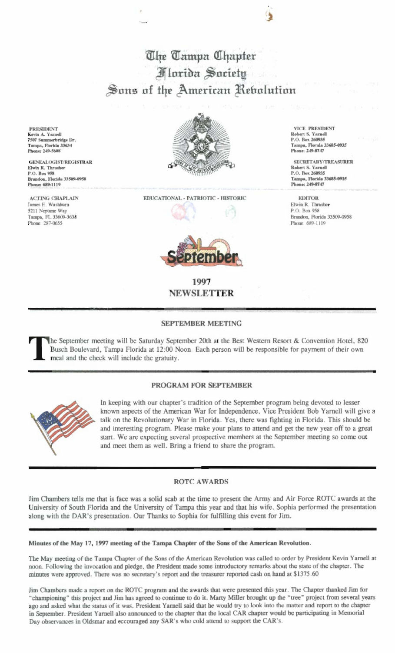The Tampa Chapter **Marida Saciety** Sons of the American Rebolution

**PRESIDENT** Kevin A. Yarnell 7507 Summerbridge Dr. Tampa, Florida 33634 Phone: 249-5608

**GENEALOGIST/REGISTRAR** Elwin R. Thrasher P.O. Box 958 Brandon, Florida 33509-0958 Phone: 689-1119

**ACTING CHAPLAIN** James E. Washburn 5211 Neptune Way Татра, FL 33609-3638 Phone: 287-0655



EDUCATIONAL - PATRIOTIC - HISTORIC



1997 **NEWSLETTER** 

## SEPTEMBER MEETING

he September meeting will be Saturday September 20th at the Best Western Resort & Convention Hotel, 820 Busch Boulevard, Tampa Florida at 12:00 Noon. Each person will be responsible for payment of their own meal and the check will include the gratuity.

## PROGRAM FOR SEPTEMBER



In keeping with our chapter's tradition of the September program being devoted to lesser known aspects of the American War for Independence, Vice President Bob Yarnell will give a talk on the Revolutionary War in Florida. Yes, there was fighting in Florida. This should be and interesting program. Please make your plans to attend and get the new year off to a great start. We are expecting several prospective members at the September meeting so come out and meet them as well. Bring a friend to share the program.

## **ROTC AWARDS**

Jim Chambers tells me that is face was a solid scab at the time to present the Army and Air Force ROTC awards at the University of South Florida and the University of Tampa this year and that his wife, Sophia performed the presentation along with the DAR's presentation. Our Thanks to Sophia for fulfilling this event for Jim.

Minutes of the May 17, 1997 meeting of the Tampa Chapter of the Sons of the American Revolution.

The May meeting of the Tampa Chapter of the Sons of the American Revolution was called to order by President Kevin Yarnell at noon. Following the invocation and pledge, the President made some introductory remarks about the state of the chapter. The minutes were approved. There was no secretary's report and the treasurer reported cash on hand at \$1375.60

Jim Chambers made a report on the ROTC program and the awards that were presented this year. The Chapter thanked Jim for "championing" this project and Jim has agreed to continue to do it. Marty Miller brought up the "tree" project from several years ago and asked what the status of it was. President Yarnell said that he would try to look into the matter and report to the chapter in September. President Yarnell also announced to the chapter that the local CAR chapter would be participating in Memorial Day observances in Oldsmar and eccouraged any SAR's who cold attend to support the CAR's.

VICE PRESIDENT Robert S. Varnell P.O. Box 260935 Татра, Florida 33685-0935 Phone: 249-8747

SECRETARY/TREASURER Robert S. Yarnel P.O. Box 260935 Tampa, Florida 33685-0935 Phone: 249-8747

**EDITOR** Elwin R. Thrasher P.O. Box 958 Brandon, Florida 33509-0958 Phone, 689-1119